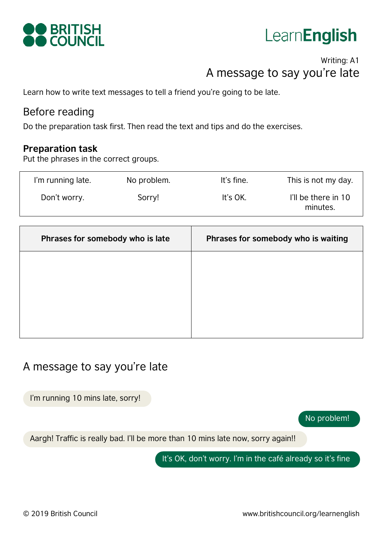

## LearnEnglish

## Writing: A1 A message to say you're late

Learn how to write text messages to tell a friend you're going to be late.

## Before reading

Do the preparation task first. Then read the text and tips and do the exercises.

#### **Preparation task**

Put the phrases in the correct groups.

| I'm running late. | No problem. | It's fine. | This is not my day.             |
|-------------------|-------------|------------|---------------------------------|
| Don't worry.      | Sorry!      | It's OK.   | I'll be there in 10<br>minutes. |

| Phrases for somebody who is late | Phrases for somebody who is waiting |
|----------------------------------|-------------------------------------|
|                                  |                                     |
|                                  |                                     |
|                                  |                                     |
|                                  |                                     |

## A message to say you're late

I'm running 10 mins late, sorry!

No problem!

Aargh! Traffic is really bad. I'll be more than 10 mins late now, sorry again!!

It's OK, don't worry. I'm in the café already so it's fine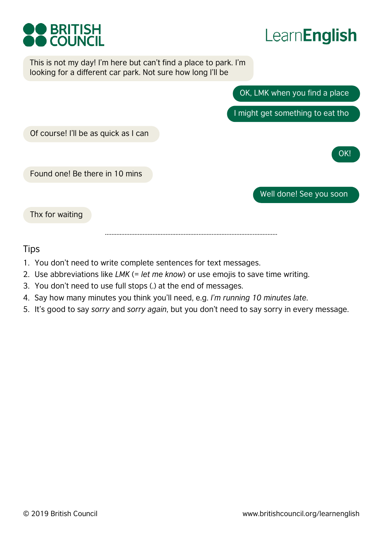



This is not my day! I'm here but can't find a place to park. I'm looking for a different car park. Not sure how long I'll be

OK, LMK when you find a place

I might get something to eat tho

Of course! I'll be as quick as I can

Found one! Be there in 10 mins

Well done! See you soon

OK!

Thx for waiting

……………………………………………………………………………………………

#### **Tips**

- 1. You don't need to write complete sentences for text messages.
- 2. Use abbreviations like *LMK* (= *let me know*) or use emojis to save time writing.
- 3. You don't need to use full stops (.) at the end of messages.
- 4. Say how many minutes you think you'll need, e.g. *I'm running 10 minutes late*.
- 5. It's good to say *sorry* and *sorry again*, but you don't need to say sorry in every message.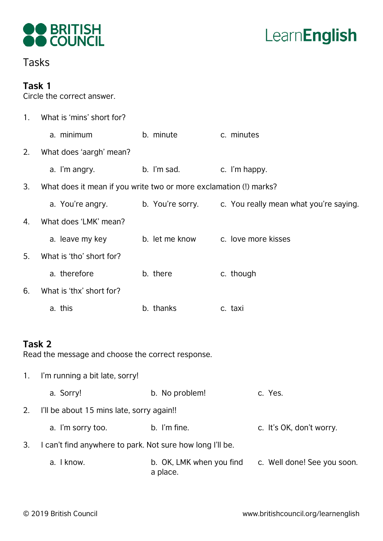



## Tasks

#### **Task 1**

Circle the correct answer.

| 1 <sub>1</sub> | What is 'mins' short for?                                         |                |                                                         |
|----------------|-------------------------------------------------------------------|----------------|---------------------------------------------------------|
|                | a. minimum                                                        | b. minute      | c. minutes                                              |
| 2.             | What does 'aargh' mean?                                           |                |                                                         |
|                | a. I'm angry.                                                     | b. I'm sad.    | c. I'm happy.                                           |
| 3.             | What does it mean if you write two or more exclamation (!) marks? |                |                                                         |
|                | a. You're angry.                                                  |                | b. You're sorry. c. You really mean what you're saying. |
| 4.             | What does 'LMK' mean?                                             |                |                                                         |
|                | a. leave my key                                                   | b. let me know | c. love more kisses                                     |
| 5 <sub>1</sub> | What is 'tho' short for?                                          |                |                                                         |
|                | a. therefore                                                      | b. there       | c. though                                               |
| 6.             | What is 'thx' short for?                                          |                |                                                         |
|                | a. this                                                           | b. thanks      | c. taxi                                                 |
|                |                                                                   |                |                                                         |
| Task 2         | Read the message and choose the correct response.                 |                |                                                         |
| $1_{\cdot}$    | I'm running a bit late, sorry!                                    |                |                                                         |
|                | a. Sorry!                                                         | b. No problem! | c. Yes.                                                 |
| 2.             | I'll be about 15 mins late, sorry again!!                         |                |                                                         |

- a. I'm sorry too. b. I'm fine. The c. It's OK, don't worry.
- 3. I can't find anywhere to park. Not sure how long I'll be.
	- a. I know. b. OK, LMK when you find c. Well done! See you soon. a place.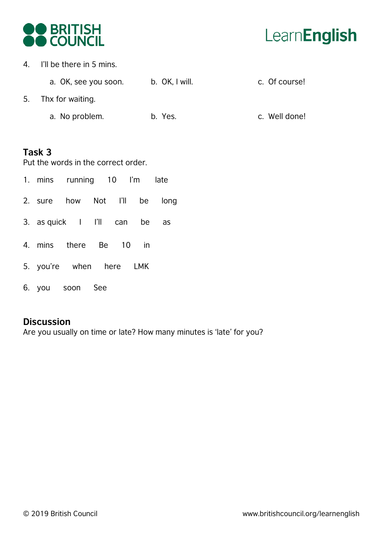

4. I'll be there in 5 mins.

a. OK, see you soon. b. OK, I will. The c. Of course!

- 5. Thx for waiting.
	- a. No problem. b. Yes. The c. Well done!

#### **Task 3**

Put the words in the correct order.

- 1. mins running 10 I'm late
- 2. sure how Not I'll be long
- 3. as quick I I'll can be as
- 4. mins there Be 10 in
- 5. you're when here LMK
- 6. you soon See

#### **Discussion**

Are you usually on time or late? How many minutes is 'late' for you?

# LearnEnglish